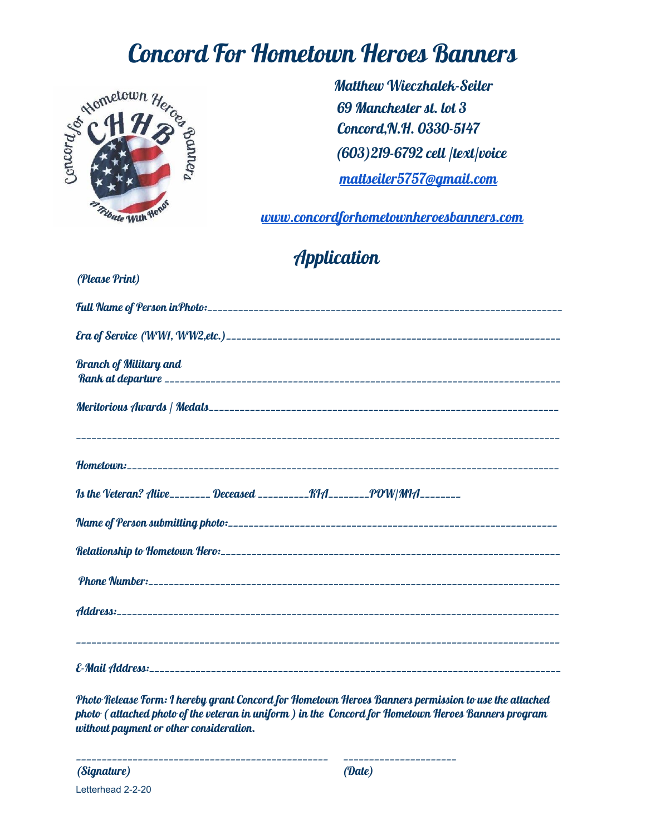## Concord For Hometown Heroes Banners



Matthew Wieczhalek-Seiler 69 Manchester st. lot 3 Concord,N.H. 0330-5147 (603)219-6792 cell /text/voice [mattseiler5757@gmail.com](mailto:mattseiler5757@gmail.com)

[www.concordforhometownheroesbanners.com](http://www.concordforhometownheroesbanners.com/)

## **Application**

| (Please Print)                                                                 |
|--------------------------------------------------------------------------------|
|                                                                                |
|                                                                                |
| <b>Branch of Military and</b>                                                  |
|                                                                                |
|                                                                                |
|                                                                                |
|                                                                                |
| Is the Veteran? Alive_________ Deceased __________KIA_________POW/MIA_________ |
|                                                                                |
|                                                                                |
|                                                                                |
|                                                                                |
|                                                                                |

Photo Release Form: I hereby grant Concord for Hometown Heroes Banners permission to use the attached photo ( attached photo of the veteran in uniform ) in the Concord for Hometown Heroes Banners program without payment or other consideration.

\_\_\_\_\_\_\_\_\_\_\_\_\_\_\_\_\_\_\_\_\_\_\_\_\_\_\_\_\_\_\_\_\_\_\_\_\_\_\_\_\_\_\_\_\_\_\_\_\_ \_\_\_\_\_\_\_\_\_\_\_\_\_\_\_\_\_\_\_\_\_\_